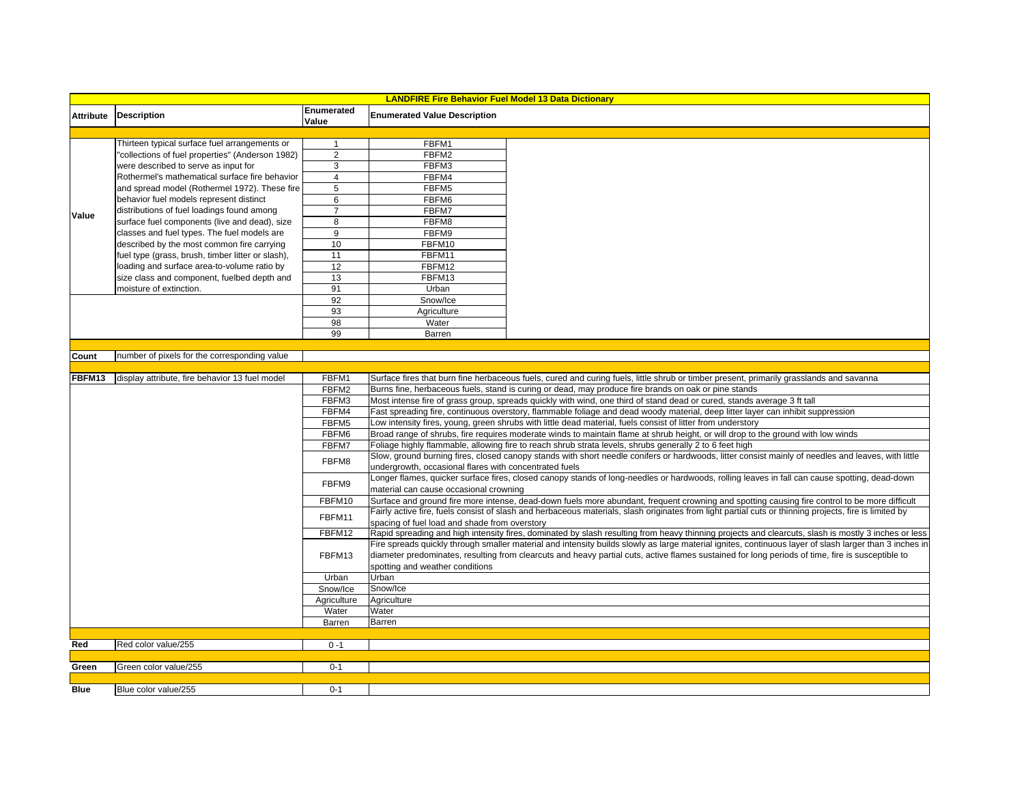| <b>LANDFIRE Fire Behavior Fuel Model 13 Data Dictionary</b> |                                                  |                     |                                                                                                                                                                                        |                                                                                                                                                    |
|-------------------------------------------------------------|--------------------------------------------------|---------------------|----------------------------------------------------------------------------------------------------------------------------------------------------------------------------------------|----------------------------------------------------------------------------------------------------------------------------------------------------|
| <b>Attribute</b>                                            | <b>Description</b>                               | Enumerated<br>Value | <b>Enumerated Value Description</b>                                                                                                                                                    |                                                                                                                                                    |
|                                                             |                                                  |                     |                                                                                                                                                                                        |                                                                                                                                                    |
| Value                                                       | Thirteen typical surface fuel arrangements or    | $\mathbf{1}$        | FBFM1                                                                                                                                                                                  |                                                                                                                                                    |
|                                                             | 'collections of fuel properties" (Anderson 1982) | 2                   | FBFM2                                                                                                                                                                                  |                                                                                                                                                    |
|                                                             | were described to serve as input for             | 3                   | FBFM3                                                                                                                                                                                  |                                                                                                                                                    |
|                                                             | Rothermel's mathematical surface fire behavior   | $\overline{4}$      | FBFM4                                                                                                                                                                                  |                                                                                                                                                    |
|                                                             | and spread model (Rothermel 1972). These fire    | 5                   | FBFM5                                                                                                                                                                                  |                                                                                                                                                    |
|                                                             | behavior fuel models represent distinct          | 6                   | FBFM6                                                                                                                                                                                  |                                                                                                                                                    |
|                                                             | distributions of fuel loadings found among       | $\overline{7}$      | FBFM7                                                                                                                                                                                  |                                                                                                                                                    |
|                                                             | surface fuel components (live and dead), size    | 8                   | FBFM8                                                                                                                                                                                  |                                                                                                                                                    |
|                                                             | classes and fuel types. The fuel models are      | $\overline{9}$      | FBFM9                                                                                                                                                                                  |                                                                                                                                                    |
|                                                             | described by the most common fire carrying       | 10                  | FBFM10                                                                                                                                                                                 |                                                                                                                                                    |
|                                                             | uel type (grass, brush, timber litter or slash), | 11                  | FBFM11                                                                                                                                                                                 |                                                                                                                                                    |
|                                                             | oading and surface area-to-volume ratio by       | 12                  | FBFM12                                                                                                                                                                                 |                                                                                                                                                    |
|                                                             | size class and component, fuelbed depth and      | 13                  | FBFM13                                                                                                                                                                                 |                                                                                                                                                    |
|                                                             | moisture of extinction.                          | 91                  | Urban                                                                                                                                                                                  |                                                                                                                                                    |
|                                                             |                                                  | 92                  | Snow/Ice                                                                                                                                                                               |                                                                                                                                                    |
|                                                             |                                                  | 93                  | Agriculture                                                                                                                                                                            |                                                                                                                                                    |
|                                                             |                                                  | 98                  | Water                                                                                                                                                                                  |                                                                                                                                                    |
|                                                             |                                                  | 99                  | Barren                                                                                                                                                                                 |                                                                                                                                                    |
|                                                             |                                                  |                     |                                                                                                                                                                                        |                                                                                                                                                    |
| Count                                                       | number of pixels for the corresponding value     |                     |                                                                                                                                                                                        |                                                                                                                                                    |
| FBFM13                                                      | display attribute, fire behavior 13 fuel model   | FBFM1               |                                                                                                                                                                                        | Surface fires that burn fine herbaceous fuels, cured and curing fuels, little shrub or timber present, primarily grasslands and savanna            |
|                                                             |                                                  | FBFM2               | Burns fine, herbaceous fuels, stand is curing or dead, may produce fire brands on oak or pine stands                                                                                   |                                                                                                                                                    |
|                                                             |                                                  | FBFM3               | Most intense fire of grass group, spreads quickly with wind, one third of stand dead or cured, stands average 3 ft tall                                                                |                                                                                                                                                    |
|                                                             |                                                  | FBFM4               | Fast spreading fire, continuous overstory, flammable foliage and dead woody material, deep litter layer can inhibit suppression                                                        |                                                                                                                                                    |
|                                                             |                                                  | FBFM5               | Low intensity fires, young, green shrubs with little dead material, fuels consist of litter from understory                                                                            |                                                                                                                                                    |
|                                                             |                                                  | FBFM6               | Broad range of shrubs, fire requires moderate winds to maintain flame at shrub height, or will drop to the ground with low winds                                                       |                                                                                                                                                    |
|                                                             |                                                  | FBFM7               | Foliage highly flammable, allowing fire to reach shrub strata levels, shrubs generally 2 to 6 feet high                                                                                |                                                                                                                                                    |
|                                                             |                                                  | FBFM8               |                                                                                                                                                                                        | Slow, ground burning fires, closed canopy stands with short needle conifers or hardwoods, litter consist mainly of needles and leaves, with little |
|                                                             |                                                  |                     | undergrowth, occasional flares with concentrated fuels                                                                                                                                 |                                                                                                                                                    |
|                                                             |                                                  | FBFM9               | onger flames, quicker surface fires, closed canopy stands of long-needles or hardwoods, rolling leaves in fall can cause spotting, dead-down<br>material can cause occasional crowning |                                                                                                                                                    |
|                                                             |                                                  | FBFM10              |                                                                                                                                                                                        | Surface and ground fire more intense, dead-down fuels more abundant, frequent crowning and spotting causing fire control to be more difficult      |
|                                                             |                                                  |                     | Fairly active fire, fuels consist of slash and herbaceous materials, slash originates from light partial cuts or thinning projects, fire is limited by                                 |                                                                                                                                                    |
|                                                             |                                                  | FBFM11              | spacing of fuel load and shade from overstory                                                                                                                                          |                                                                                                                                                    |
|                                                             |                                                  | FBFM12              | Rapid spreading and high intensity fires, dominated by slash resulting from heavy thinning projects and clearcuts, slash is mostly 3 inches or less                                    |                                                                                                                                                    |
|                                                             |                                                  |                     | Fire spreads quickly through smaller material and intensity builds slowly as large material ignites, continuous layer of slash larger than 3 inches in                                 |                                                                                                                                                    |
|                                                             |                                                  | FBFM13              |                                                                                                                                                                                        | diameter predominates, resulting from clearcuts and heavy partial cuts, active flames sustained for long periods of time, fire is susceptible to   |
|                                                             |                                                  |                     | spotting and weather conditions                                                                                                                                                        |                                                                                                                                                    |
|                                                             |                                                  | Urban               | Urban                                                                                                                                                                                  |                                                                                                                                                    |
|                                                             |                                                  | Snow/Ice            | Snow/Ice                                                                                                                                                                               |                                                                                                                                                    |
|                                                             |                                                  | Agriculture         | Agriculture                                                                                                                                                                            |                                                                                                                                                    |
|                                                             |                                                  | Water               | Water                                                                                                                                                                                  |                                                                                                                                                    |
|                                                             |                                                  | Barren              | Barren                                                                                                                                                                                 |                                                                                                                                                    |
| Red                                                         | Red color value/255                              | $0 - 1$             |                                                                                                                                                                                        |                                                                                                                                                    |
|                                                             |                                                  |                     |                                                                                                                                                                                        |                                                                                                                                                    |
| Green                                                       | Green color value/255                            | $0 - 1$             |                                                                                                                                                                                        |                                                                                                                                                    |
|                                                             |                                                  |                     |                                                                                                                                                                                        |                                                                                                                                                    |
| <b>Blue</b>                                                 | Blue color value/255                             | $0 - 1$             |                                                                                                                                                                                        |                                                                                                                                                    |